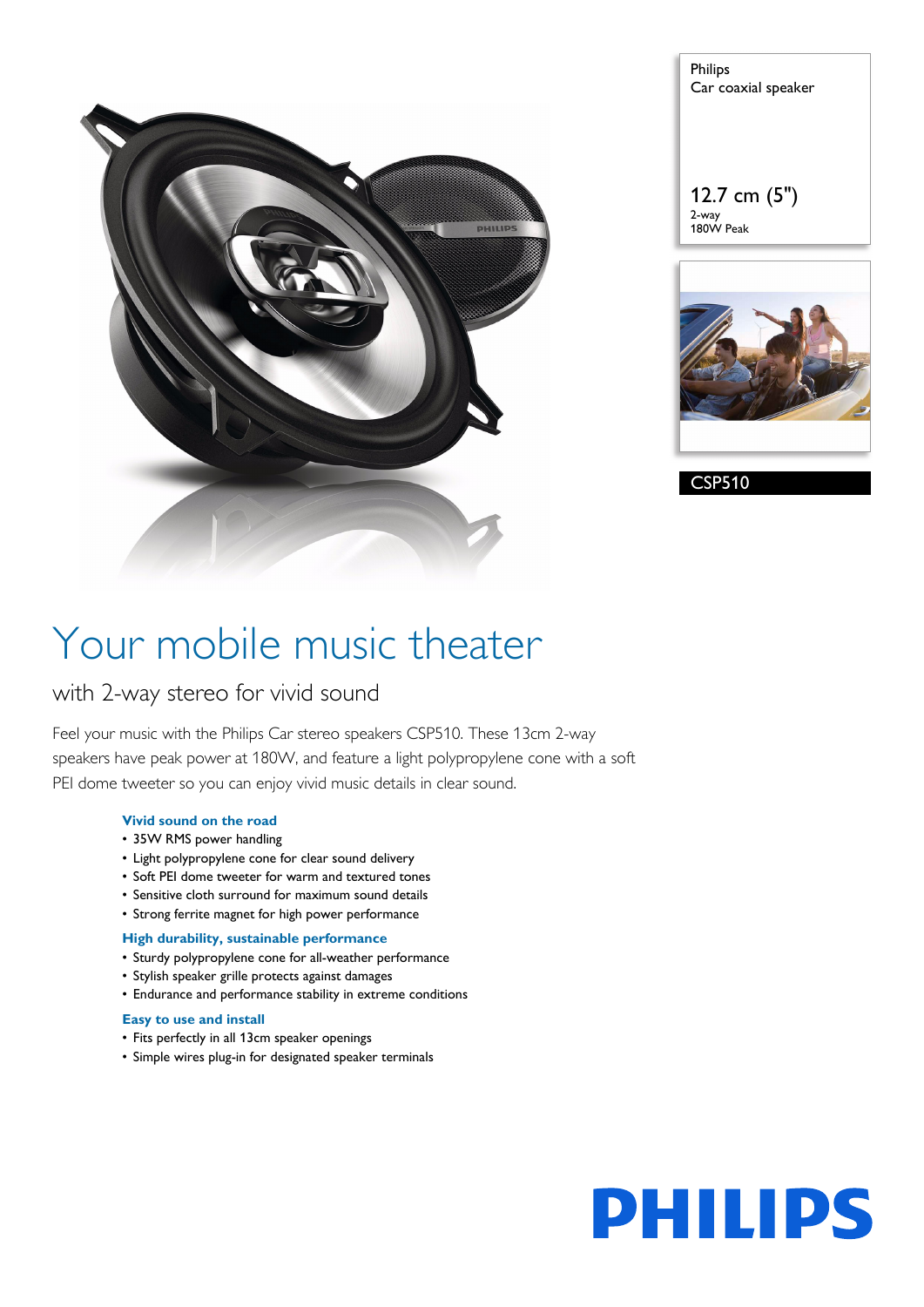

Philips Car coaxial speaker

12.7 cm (5") 2-way 180W Peak



CSP510

# Your mobile music theater

### with 2-way stereo for vivid sound

Feel your music with the Philips Car stereo speakers CSP510. These 13cm 2-way speakers have peak power at 180W, and feature a light polypropylene cone with a soft PEI dome tweeter so you can enjoy vivid music details in clear sound.

### **Vivid sound on the road**

- 35W RMS power handling
- Light polypropylene cone for clear sound delivery
- Soft PEI dome tweeter for warm and textured tones
- Sensitive cloth surround for maximum sound details
- Strong ferrite magnet for high power performance

### **High durability, sustainable performance**

- Sturdy polypropylene cone for all-weather performance
- Stylish speaker grille protects against damages
- Endurance and performance stability in extreme conditions

#### **Easy to use and install**

- Fits perfectly in all 13cm speaker openings
- Simple wires plug-in for designated speaker terminals